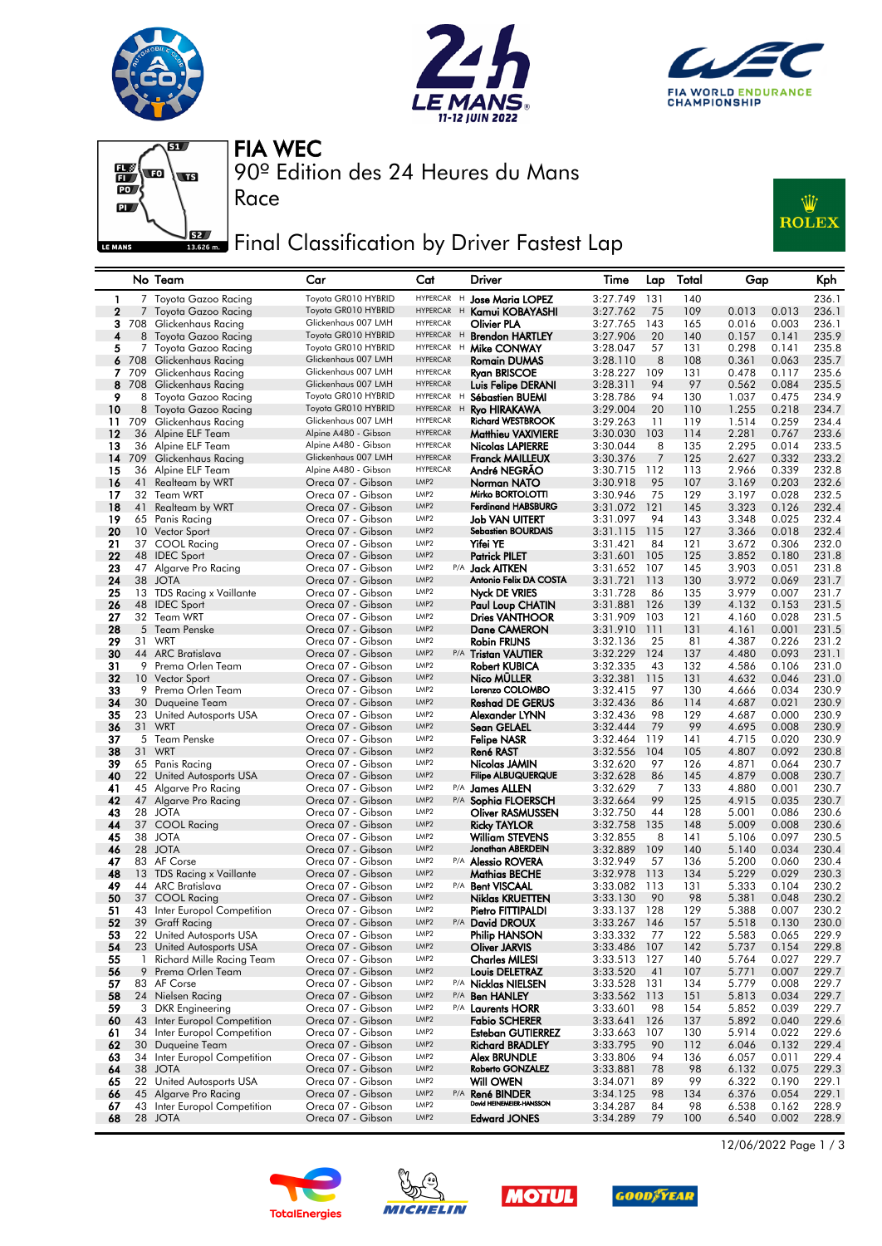







Race

FIA WEC

90º Edition des 24 Heures du Mans

### Final Classification by Driver Fastest Lap



### No Team Car Cat Driver Time Lap Total Gap Kph 1 7 Toyota Gazoo Racing Toyota GR010 HYBRID HYPERCAR H **Jose Maria LOPEZ** 3:27.749 131 140 236.1<br>2 7 Toyota Gazoo Racing Toyota GR010 HYBRID HYPERCAR H **Kamui KOBAYASHI** 3:27.762 75 109 0.013 0.013 236.1 2 Toyota Gazoo Racing Toyota GR010 HYBRID HYPERCAR<br>Clickenhaus Racing Glickenhaus 007 LMH HYPERCAR 3127.765 143 165 0.016 0.003 Clickenhaus Racing Glickenhaus 007 LMH HYPERCAR **Olivier PLA** 3:27.765 143 165 0.016 0.003 236.1<br>13.27.906 20 140 0.157 0.141 235.9 Toyota GR010 HYBRID HYPERCAR H **Brendon HARTLEY** 3:27.906 20 4 Toyota Gazoo Racing Toyota GR010 HYBRID HYPERCAR H **Brendon HARTLEY** 3:27.906 20 140 0.157 0.141 235.9<br>1 Toyota Gazoo Racing Toyota GR010 HYBRID HYPERCAR H **Mike CONWAY** 3:28.047 57 131 0.298 0.141 235.8 Toyota Gazoo Racing Toyota GR010 HYBRID HYPERCAR H Mike CONWAY 3:28.047 57 131 0.298 0.141 235.8<br>708 Glickenhaus Racing Glickenhaus 007 LMH HYPERCAR Romain DUMAS 3:28.110 8 108 0.361 0.063 235.7 708 Glickenhaus Racing Glickenhaus 007 LMH HYPERCAR Romain DUMAS 3:28.110 8 108 0.361 0.063 235.7 Glickenhaus Racing Glickenhaus 007 LMH HYPERCAR **Ryan BRISCOE** 3:28.227 109 131 708 Glickenhaus Racing Glickenhaus 007 LMH HYPERCAR Luis Felipe DERANI 3:28.311 94 97 0.562 0.084 235.5 8 Toyota Gazoo Racing Toyota GR010 HYBRID HYPERCAR H **Sébastien BUEMI** 3:28.786 94 130 1.037 0.475 234.9<br>8 Toyota Gazoo Racing Toyota GR010 HYBRID HYPERCAR H **Ryo HIRAKAWA** 3:29.004 20 110 1.255 0.218 234.7 10 8 Toyota Gazoo Racing Toyota GR010 HYBRID HYPERCAR H Ryo HIRAKAWA 3:29.004 20 110 1.255 0.218 234.7<br>11 709 Glickenhaus Racing Glickenhaus 007 LMH HYPERCAR Richard WESTBROOK 3:29.263 11 119 1.514 0.259 234.4 709 Glickenhaus Racing Glickenhaus 007 LMH HYPERCAR Richard WESTBROOK 3:29.263 11 119 1.514 0.259 234.4 12 36 Alpine ELF Team Alpine A480 - Gibson HYPERCAR **Matthieu VAXIVIERE** 3:30.030 103 114 2.281 0.767 233.6<br>13 36 Alpine ELF Team Alpine A480 - Gibson HYPERCAR **Nicolas LAPIERRE** 3:30.044 8 135 2.295 0.014 233.5 36 Alpine ELF Team Alpine A480 - Gibson HYPERCAR Nicolas LAPIERRE 3:30.044 8 135 2.295 0.014 233.5 709 Glickenhaus Racing Glickenhaus 007 LMH HYPERCAR Franck MAILLEUX 3:30.376 7 125 2.627 0.332 233.2 15 36 Alpine ELF Team Alpine A480 - Gibson HYPERCAR **André NEGRÃO** 3:30.715 112 113 2.966 0.339 232.8<br>16 41 Realteam by WRT Creca 07 - Gibson LMP2 Norman NATO 3:30.918 95 107 3.169 0.203 232.6 41 Realteam by WRT Oreca 07 - Gibson LMP2 Norman NATO 3:30.918 95 107 3.169 0.203 232.6 32 Team WRT Oreca 07 - Gibson LMP2 Mirko BORTOLOTTI 3:30.946 75 129 3.197 0.028 232.5 41 Realteam by WRT Oreca 07 - Gibson LMP2 Ferdinand HABSBURG 3:31.072 121 145 3.323 0.126 232.4 19 Greca 07 - Gibson LMP2 Job VAN UITERT<br>19 Sebastien BOURDAIS 10 Vector Sport Oreca 07 - Gibson LMP2 Sebastien BOURDAIS 3:31.115 115 127 3.366 0.018 232.4 37 COOL Racing Oreca 07 - Gibson LMP2 Yifei YE 3:31.421 84 121 3.672 0.306 232.0 22 48 IDEC Sport Creca 07 - Gibson LMP2 Patrick PILET 3:31.601 105 125 3.852 0.180 231.8<br>23 47 Algarve Pro Racing Creca 07 - Gibson LMP2 P/A Jack AITKEN 3:31.652 107 145 3.903 0.051 231.8 23 47 Algarve Pro Racing Creca 07 - Gibson LMP2 P/A Jack AITKEN 3:31.652 107 145 3.903 0.051 231.8<br>24 38 JOTA Creca 07 - Gibson LMP2 Antonio Felix DACOSTA 3:31.721 113 130 3.972 0.069 231.7 29 Creca 07 - Gibson LMP2 **Antonio Felix DA COSTA** 3:31.721 113 130 3.972<br>29 Dreca 07 - Gibson LMP2 **Nyck DE VRIES** 3:31.728 86 135 3:979 13 TDS Racing x Vaillante Oreca 07 - Gibson LMP2 Nyck DE VRIES 3:31.728 86 135 3.979 0.007 231.7 48 IDEC Sport Oreca 07 - Gibson LMP2 Paul Loup CHATIN 3:31.881 126 139 4.132 0.153 231.5 32 Team WRT Oreca 07 - Gibson LMP2 Dries VANTHOOR 3:31.909 103 121 4.160 0.028 231.5 5 Team Penske Oreca 07 - Gibson LMP2 Dane CAMERON 3:31.910 111 131 4.161 0.001 231.5 29 31 WRT Oreca 07 - Gibson <sup>LMP2</sup> **Robin FRIJNS** 3:32.136 25 81 4.387 0.226 231.2 44 ARC Bratislava Oreca 07 - Gibson LMP2 P/A Tristan VAUTIER 3:32.229 124 137 4.480 0.093 231.1 9 Prema Orlen Team Oreca 07 - Gibson LMP2 Robert KUBICA 3:32.335 43 132 4.586 0.106 231.0 32 10 Vector Sport Creca 07 - Gibson UMP2 Nico MÜLLER 3:32.381 115 131 4.632 0.046 231.0<br>33 9 Prema Orlen Team Oreca 07 - Gibson UMP2 Lorenzo COLOMBO 3:32.415 97 130 4.666 0.034 230.9 9 Prema Orlen Team Oreca 07 - Gibson LMP2 Lorenzo COLOMBO 3:32.415 97 130 4.666 0.034 230.9 30 Duqueine Team Oreca 07 - Gibson LMP2 Reshad DE GERUS 3:32.436 86 114 4.687 0.021 230.9 35 23 United Autosports USA Oreca 07 - Gibson UMP2 **Alexander LYNN** 3:32.436 98 129 4.687 0.000 230.9<br>36 31 WRT Creca 07 - Gibson UMP2 Sean GELAEL 3:32.444 79 99 4.695 0.008 230.9 36 31 WRT Creca 07 - Gibson LMP2 Sean GELAEL 3:32.444 79 99 4.695 0.008 230.9<br>37 5 Team Penske Creca 07 - Gibson LMP2 Felipe NASR 3:32.464 119 141 4.715 0.020 230.9 5 Team Penske Oreca 07 - Gibson LMP2 Felipe NASR 3:32.464 119 141 4.715 0.020 230.9 38 31 WRT Creca 07 - Gibson LMP2 **René RAST** 3:32.556 104 105 4.807 0.092 230.8<br>39 65 Panis Racing Creca 07 - Gibson LMP2 **Nicolas JAMIN** 3:32.620 97 126 4.871 0.064 230.7 65 Panis Racing Oreca 07 - Gibson LMP2 Nicolas JAMIN 3:32.620 97 126 4.871 0.064 230.7 22 United Autosports USA Oreca 07 - Gibson LMP2 Filipe ALBUQUERQUE 3:32.628 86 145 4.879 0.008 230.7 45 Algarve Pro Racing Oreca 07 - Gibson LMP2 P/A James ALLEN 3:32.629 7 133 4.880 0.001 230.7 47 Algarve Pro Racing Oreca 07 - Gibson LMP2 P/A Sophia FLOERSCH 3:32.664 99 125 4.915 0.035 230.7 28 JOTA Oreca 07 - Gibson LMP2 Oliver RASMUSSEN 3:32.750 44 128 5.001 0.086 230.6 37 COOL Racing Oreca 07 - Gibson LMP2 Ricky TAYLOR 3:32.758 135 148 5.009 0.008 230.6 38 JOTA Oreca 07 - Gibson LMP2 William STEVENS 3:32.855 8 141 5.106 0.097 230.5 28 JOTA Oreca 07 - Gibson LMP2 Jonathan ABERDEIN 3:32.889 109 140 5.140 0.034 230.4 83 AF Corse Oreca 07 - Gibson LMP2 P/A Alessio ROVERA 3:32.949 57 136 5.200 0.060 230.4 48 13 TDS Racing x Vaillante Creca 07 - Gibson LMP2 Mathias BECHE 3:32.978 113 134 5.229 0.029 230.3<br>19 44 ARC Bratislava Creca 07 - Gibson LMP2 P/A Bent VISCAAL 3:33.082 113 131 5.333 0.104 230.2 44 ARC Bratislava Oreca 07 - Gibson LMP2 P/A Bent VISCAAL 3:33.082 113 131 5.333 0.104 230.2 37 COOL Racing Oreca 07 - Gibson LMP2 Niklas KRUETTEN 3:33.130 90 98 5.381 0.048 230.2 43 Inter Europol Competition Oreca 07 - Gibson LMP2 Pietro FITTIPALDI 3:33.137 128 129 5.388 0.007 230.2 39 Graff Racing Oreca 07 - Gibson LMP2 P/A David DROUX 3:33.267 146 157 5.518 0.130 230.0 53 22 United Autosports USA Creca 07 - Gibson LMP2 Philip HANSON 3:33.332 77 122 5.583 0.065 229.9<br>54 23 United Autosports USA Creca 07 - Gibson LMP2 **Cliver JARVIS** 3:33.486 107 142 5.737 0.154 229.8 23 United Autosports USA Oreca 07 - Gibson LMP2 Oliver JARVIS 3:33.486 107 142 5.737 0.154 229.8 1 Richard Mille Racing Team Oreca 07 - Gibson LMP2 Charles MILESI 3:33.513 127 140 5.764 0.027 229.7 9 Prema Orlen Team Oreca 07 - Gibson LMP2 Louis DELETRAZ 3:33.520 41 107 5.771 0.007 229.7 83 AF Corse Oreca 07 - Gibson LMP2 P/A Nicklas NIELSEN 3:33.528 131 134 5.779 0.008 229.7 24 Nielsen Racing Oreca 07 - Gibson LMP2 P/A Ben HANLEY 3:33.562 113 151 5.813 0.034 229.7 3 DKR Engineering Oreca 07 - Gibson LMP2 P/A Laurents HORR 3:33.601 98 154 5.852 0.039 229.7 43 Inter Europol Competition Oreca 07 - Gibson LMP2 Fabio SCHERER 3:33.641 126 137 5.892 0.040 229.6 34 Inter Europol Competition Oreca 07 - Gibson LMP2 Esteban GUTIERREZ 3:33.663 107 130 5.914 0.022 229.6  $\begin{array}{ccc}\n 30 \text{ Duqueine Team} \\
\text{133.795}\n \end{array}$   $\begin{array}{ccc}\n \text{14.1} \\
\text{15.1} \\
\text{16.1} \\
\text{23.2} \\
\text{23.3} \\
\text{34.1} \\
\text{23.3} \\
\text{35.3} \\
\text{4.1} \\
\text{5.1} \\
\text{6.1} \\
\text{7.1} \\
\text{7.2} \\
\text{8.1} \\
\text{9.1} \\
\text{10.1} \\
\text{11.1} \\
\text{12.1} \\
\text{13.2} \\
\text{14.1$  34 Inter Europol Competition Oreca 07 - Gibson LMP2 Alex BRUNDLE 3:33.806 94 136 6.057 0.011 229.4 38 JOTA Oreca 07 - Gibson LMP2 Roberto GONZALEZ 3:33.881 78 98 6.132 0.075 229.3 22 United Autosports USA Oreca 07 - Gibson LMP2 Will OWEN 3:34.071 89 99 6.322 0.190 229.1 45 Algarve Pro Racing Oreca 07 - Gibson LMP2 P/A René BINDER 3:34.125 98 134 6.376 0.054 229.1 43 Inter Europol Competition Oreca 07 - Gibson UMP2 David HEINEMER-HANSSON 3:34.287 84 98 6.538 0.162 228.9<br>68 28 JOTA O.002 228.9 Oreca 07 - Gibson UMP2 **Edward JONES** 3:34.289 79 100 6.540 0.002 228.9 Oreca 07 - Gibson









12/06/2022 Page 1 / 3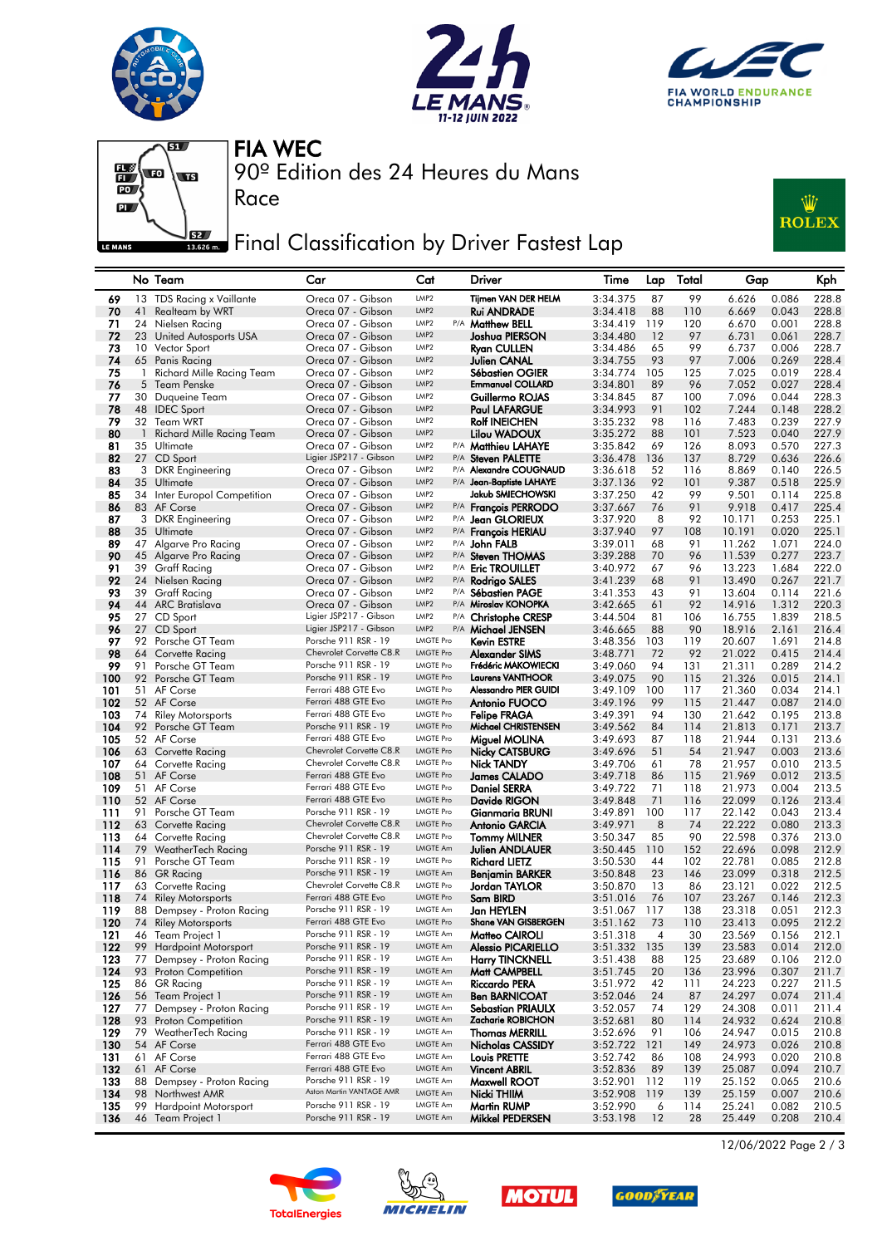







Race

FIA WEC

90º Edition des 24 Heures du Mans

## Final Classification by Driver Fastest Lap



### No Team Car Cat Driver Time Lap Total Gap Kph 69 13 TDS Racing x Vaillante Creca 07 - Gibson LMP2 Tijmen VAN DER HELM 3:34.375 87 99 6.626 0.086 228.8<br>19 1 Realteam by WRT Creca 07 - Gibson LMP2 Rui ANDRADE 3:34.418 88 110 6.669 0.043 228.8 Oreca 07 - Gibson LMP2<br>Oreca 07 - Gibson LMP2 71 24 Nielsen Racing Oreca 07 - Gibson LMP2 P/A Matthew BELL 3:34.419 119 120 6.670 0.001 228.8 **72** 23 United Autosports USA Oreca 07 - Gibson LMP2 **Joshua PIERSON** 3:34.480 12 97 6.731 0.061 228.7<br>**73** 10 Vector Sport Creca 07 - Gibson LMP2 **Ryan CULLEN** 3:34.486 65 99 6.737 0.006 228.7 73 10 Vector Sport Oreca 07 - Gibson LMP2 Ryan CULLEN 3:34.486 65 99 6.737 0.006 228.7 74 65 Panis Racing Oreca 07 - Gibson LMP2 Julien CANAL 3:34.755 93 97 7.006 0.269 228.4 Richard Mille Racing Team Oreca 07 - Gibson LMP2<br>Team Penske Creca 07 - Gibson LMP2 76 5 Team Penske Oreca 07 - Gibson LMP2 Emmanuel COLLARD 3:34.801 89 96 7.052 0.027 228.4 77 30 Duqueine Team Oreca 07 - Gibson LMP2 Guillermo ROJAS 3:34.845 87 100 7.096 0.044 228.3 78 48 IDEC Sport Oreca 07 - Gibson LMP2 Paul LAFARGUE 3:34.993 91 102 7.244 0.148 228.2 79 32 Team WRT Oreca 07 - Gibson LMP2 Rolf INEICHEN 3:35.232 98 116 7.483 0.239 227.9 80 1 Richard Mille Racing Team Oreca 07 - Gibson LMP2 Lilou WADOUX 3:35.272 88 101 7.523 0.040 227.9 **81** 35 Ultimate Oreca 07 - Gibson LMP2 P/A **Matthieu LAHAYE** 3:35.842 69 126 8.093 0.570 227.3 82 27 CD Sport Ligier JSP217 - Gibson UMP2 P/A Steven PALETTE 3:36.478 136 137 8.729 0.636 226.6<br>83 3 DKR Engineering Creca 07 - Gibson UMP2 P/A Alexandre COUGNAUD 3:36.618 52 116 8.869 0.140 226.5 83 3 DKR Engineering Creca 07 - Gibson LMP2 P/A Alexandre COUGNAUD 3:36.618 52 116 8.869 0.140 226.5<br>84 35 Ultimate Creca 07 - Gibson LMP2 P/A Jean-Baptiste LAHAYE 3:37.136 92 101 9.387 0.518 225.9 84 35 Ultimate Christian Christian Oreca 07 - Gibson Limpa P/A Jean-Baptiste LAHAYE 3:37.136 92 101 9.387 0.518 225.9<br>85 34 Inter Europol Competition Oreca 07 - Gibson Limpa Jakub SMIECHOWSKI 3:37.250 42 99 9.501 0.114 225 85 34 Inter Europol Competition Oreca 07 - Gibson LMP2 Jakub SMIECHOWSKI 3:37.250 42 99 9.501 0.114 225.8 86 83 AF Corse Oreca 07 - Gibson LMP2 P/A François PERRODO 3:37.667 76 91 9.918 0.417 225.4 87 3 DKR Engineering Oreca 07 - Gibson LMP2 P/A Jean GLORIEUX 3:37.920 8 92 10.171 0.253 225.1 88 35 Ultimate Creca 07 - Gibson LMP2 P/A **François HERIAU** 3:37.940 97 108 10.191 0.020 225.1<br>89 47 Algarve Pro Racing Creca 07 - Gibson LMP2 P/A **John FALB** 3:39.011 68 91 11.262 1.071 224.0 89 47 Algarve Pro Racing Creca 07 - Gibson UMP2 P/A **John FALB** 3:39.011 68 91 11.262 1.071 224.0<br>190 45 Algarve Pro Racing Oreca 07 - Gibson UMP2 P/A Steven THOMAS 3:39.288 70 96 11.539 0.277 223.7<br>191 39 Graff Racing Ore 45 Algarve Pro Racing Creca 07 - Gibson LMP2 P/A Steven THOMAS 3:39.288 70 96 11.539 0.277 223.7<br>39 Graff Racing Creca 07 - Gibson LMP2 P/A Eric TROUILLET 3:40.972 67 96 13.223 1.684 222.0 91 39 Graff Racing Creca 07 - Gibson LMP2 P/A Eric TROUILLET 3:40.972 67 96 13.223 1.684 222.0<br>192 24 Nielsen Racing Creca 07 - Gibson LMP2 P/A Rodrigo SALES 3:41.239 68 91 13.490 0.267 221.7 92 24 Nielsen Racing<br>93 39 Graff Racing<br>94 44 ARC Bratislava 39 Graff Racing **Oreca 07 - Gibson LMP2 P/A Sébastien PAGE** 3:41.353 43 91 13.604 0.114 221.6 94 44 ARC Bratislava Oreca 07 - Gibson LMP2 P/A Miroslav KONOPKA 3:42.665 61 92 14.916 1.312 220.3 95 27 CD Sport Ligier JSP217 - Gibson LMP2 P/A Christophe CRESP 3:44.504 81 106 16.755 1.839 218.5 96 27 CD Sport Ligier JSP217 - Gibson LMP2 P/A Michael JENSEN 3:46.665 88 90 18.916 2.161 216.4 97 92 Porsche GT Team Porsche 911 RSR - 19 LMGTE Pro **Kevin ESTRE** 3:48.356 103 119 20.607 1.691 214.8<br>198 64 Corvette Racing Chevrolet Corvette C8.R LMGTE Pro **Alexander SIMS** 3:48.771 72 92 21.022 0.415 214.4 89 99 64 Corvette Racing Chevrolet Corvette C8.R LMGTE Pro Alexander SIMS 3:48.771 72 92 21.022 0.415 214.4 99 91 Porsche GT Team Porsche 911 RSR - 19 LMGTE Pro Frédéric MAKOWIECKI 3:49.060 94 131 21.311 0.289 214.2<br>100 92 Porsche GT Team Porsche 911 RSR - 19 LMGTE Pro Laurens VANTHOOR 3:49.075 90 115 21.326 0.015 214.1 100 92 Porsche GT Team Porsche 911 RSR - 19 LMGTE Pro Laurens VANTHOOR 3:49.075 90 115 21.326 0.015 214.1 101 51 AF Corse Ferrari 488 GTE Evo LMGTE Pro Alessandro PIER GUIDI 3:49.109 100 117 21.360 0.034 214.1 102 52 AF Corse Ferrari 488 GTE Evo LMGTE Pro Antonio FUOCO 3:49.196 99 115 21.447 0.087 214.0 103 74 Riley Motorsports Ferrari 488 GTE Evo LMGTE Pro **Felipe FRAGA** 3:49.391 94 130 21.642 0.195 213.8 104 92 Porsche GT Team Porsche 911 RSR - 19 LMGTE Pro Michael CHRISTENSEN 3:49.562 84 114 21.813 0.171 213.7 105 52 AF Corse Ferrari 488 GTE Evo LMGTE Pro Miguel MOLINA 3:49.693 87 118 21.944 0.131 213.6 106 63 Corvette Racing Chevrolet Corvette C8.R LMGTE Pro Nicky CATSBURG 3:49.696 51 54 21.947 0.003 213.6 107 64 Corvette Racing Chevrolet Corvette C8.R LMGTE Pro Nick TANDY 3:49.706 61 78 21.957 0.010 213.5 108 51 AF Corse Therrari 488 GTE Evo LAGTE Pro James CALADO 3:49.718 86 115 21.969 0.012 213.5<br>109 51 AF Corse Ferrari 488 GTE Evo LAGTE Pro **Daniel SERRA** 3:49.722 71 118 21.973 0.004 213.5 109 51 AF Corse Ferrari 488 GTE Evo LMGTE Pro Daniel SERRA 3:49.722 71 118 21.973 0.004 213.5 110 52 AF Corse Ferrari 488 GTE Evo LMGTE Pro Davide RIGON 3:49.848 71 116 22.099 0.126 213.4 111 91 Porsche GT Team Porsche 911 RSR - 19 LMGTE Pro Gianmaria BRUNI 3:49.891 100 117 22.142 0.043 213.4 112 63 Corvette Racing Chevrolet Corvette C8.R LMGTE Pro Antonio GARCIA 3:49.971 8 74 22.222 0.080 213.3 113 64 Corvette Racing Chevrolet Corvette C8.R LMGTE Pro Tommy MILNER 3:50.347 85 90 22.598 0.376 213.0 114 79 WeatherTech Racing Porsche 911 RSR - 19 LMGTE Am Julien ANDLAUER 3:50.445 110 152 22.696 0.098 212.9 115 91 Porsche GT Team Porsche 911 RSR - 19 LMGTE Pro Richard LIETZ 3:50.530 44 102 22.781 0.085 212.8 116 86 GR Racing Porsche 911 RSR - 19 LMGTE Am **Benjamin BARKER** 3:50.848 23 146 23.099 0.318 212.5<br>117 63 Corvette Racing Chevrolet Corvette C8.R LMGTE Pro **Jordan TAYLOR** 3:50.870 13 86 23.121 0.022 212.5 117 63 Corvette Racing Chevrolet Corvette C8.R LMGTE Pro **Jordan TAYLOR** 3:50.870 13 86 23.121 0.022 212.5<br>118 74 Riley Motorsports Ferrari 488 GTE Evo LMGTE Pro **Sam BIRD** 3:51.016 76 107 23.267 0.146 212.3<br>119 88 Dempsey 118 74 Riley Motorsports Ferrari 488 GTE Evo LMGTE Pro Sam BIRD 3:51.016 76 107 23.267 0.146 212.3 119 88 Dempsey - Proton Racing Porsche 911 RSR - 19 LMGTE Am Jan HEYLEN 3:51.067 117 138 23.318 0.051 212.3<br>120 74 Riley Motorsports Ferrari 488 GTE Evo LMGTE Pro Shane VAN GISBERGEN 3:51.162 73 110 23.413 0.095 212.2 120 74 Riley Motorsports Ferrari 488 GTE Evo LMGTE Pro Shane VAN GISBERGEN 3:51.162 73 110 23.413 0.095 212.2<br>121 46 Team Project 1 Porsche 911 RSR - 19 LMGTE Am Matteo CAIROLI 3:51.318 4 30 23.569 0.156 212.1 121 46 Team Project 1 Porsche 911 RSR - 19 LMGTE Am **Matteo CAIROLI** 3:51.318 4 30 23.569 0.156 212.1<br>122 99 Hardpoint Motorsport Porsche 911 RSR - 19 LMGTE Am **Alessio PICARIELLO** 3:51.332 135 139 23.583 0.014 212.0 122 99 Hardpoint Motorsport Porsche 911 RSR - 19 LMGTE Am Alessio PICARIELLO 3:51.332 135 139 23.583 0.014 212.0<br>123 77 Dempsey - Proton Racing Porsche 911 RSR - 19 LMGTE Am Harry TINCKNELL 3:51.438 88 125 23.689 0.106 212 123 77 Dempsey - Proton Racing Porsche 911 RSR - 19 LMGTE Am Harry TINCKNELL 3:51.438 88 125 23.689 0.106 212.0<br>124 93 Proton Competition Porsche 911 RSR - 19 LMGTE Am Matt CAMPBELL 3:51.745 20 136 23.996 0.307 211.7 124 93 Proton Competition Porsche 911 RSR - 19 LMGTE Am Matt CAMPBELL 3:51.745 20 136 23.996 0.307 211.7 125 86 GR Racing Porsche 911 RSR - 19 Riccardo PERA 3:51.972 42 111 24.223 0.227 211.5 126 56 Team Project 1 Porsche 911 RSR - 19 LMGTE Am Ben BARNICOAT 3:52.046 24 87 24.297 0.074 211.4<br>127 77 Dempsey - Proton Racing Porsche 911 RSR - 19 LMGTE Am Sebastian PRIAULX 3:52.057 74 129 24.308 0.011 211.4 127 77 Dempsey - Proton Racing Porsche 911 RSR - 19 LMGTE Am Sebastian PRIAULX 3:52.057 74 129 24.308 0.011 211.4 128 93 Proton Competition Porsche 911 RSR - 19 LMGTE Am Zacharie ROBICHON 3:52.681 80 114 24.932 0.624 210.8 129 79 WeatherTech Racing Porsche 911 RSR - 19 LMGTE Am Thomas MERRILL 3:52.696 91 106 24.947 0.015 210.8 130 54 AF Corse Ferrari 488 GTE Evo LMGTE Am Nicholas CASSIDY 3:52.722 121 149 24.973 0.026 210.8 131 61 AF Corse Ferrari 488 GTE Evo LMGTE Am Louis PRETTE 3:52.742 86 108 24.993 0.020 210.8 132 61 AF Corse Ferrari 488 GTE Evo LMGTE Am **Vincent ABRIL** 3:52.836 89 139 25.087 0.094 210.7 133 88 Dempsey - Proton Racing Porsche 911 RSR - 19 LMGTE Am Maxwell ROOT 3:52.901 112 119 25.152 0.065 210.6<br>134 98 Northwest AMR Aston Martin VANTAGE AMR LMGTE Am Nicki THIIM 3:52.908 119 139 25.159 0.007 210.6 **134** 98 Northwest AMR **134 Aston Martin VANTAGE AMR** LMGTE Am **Nicki THIIM** 3:52.908 119 139 25.159 0.007 210.6 135 99 Hardpoint Motorsport Porsche 911 RSR - 19 LMGTE Am **Martin RUMP** 3:52.990 6 114 25.241 0.082 210.5 136 46 Team Project 1 Porsche 911 RSR - 19 LMGTE Am **Mikkel PEDERSEN** 3:53.198 12 28 25.449 0.208 210.4









12/06/2022 Page 2 / 3